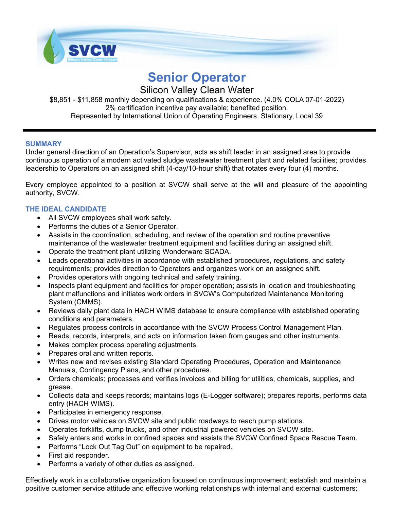

# **Senior Operator**

## Silicon Valley Clean Water

\$8,851 - \$11,858 monthly depending on qualifications & experience. (4.0% COLA 07-01-2022) 2% certification incentive pay available; benefited position.

Represented by International Union of Operating Engineers, Stationary, Local 39

### **SUMMARY**

Under general direction of an Operation's Supervisor, acts as shift leader in an assigned area to provide continuous operation of a modern activated sludge wastewater treatment plant and related facilities; provides leadership to Operators on an assigned shift (4-day/10-hour shift) that rotates every four (4) months.

Every employee appointed to a position at SVCW shall serve at the will and pleasure of the appointing authority, SVCW.

## **THE IDEAL CANDIDATE**

- All SVCW employees shall work safely.
- Performs the duties of a Senior Operator.
- Assists in the coordination, scheduling, and review of the operation and routine preventive maintenance of the wastewater treatment equipment and facilities during an assigned shift.
- Operate the treatment plant utilizing Wonderware SCADA.
- Leads operational activities in accordance with established procedures, regulations, and safety requirements; provides direction to Operators and organizes work on an assigned shift.
- Provides operators with ongoing technical and safety training.
- Inspects plant equipment and facilities for proper operation; assists in location and troubleshooting plant malfunctions and initiates work orders in SVCW's Computerized Maintenance Monitoring System (CMMS).
- Reviews daily plant data in HACH WIMS database to ensure compliance with established operating conditions and parameters.
- Regulates process controls in accordance with the SVCW Process Control Management Plan.
- Reads, records, interprets, and acts on information taken from gauges and other instruments.
- Makes complex process operating adjustments.
- Prepares oral and written reports.
- Writes new and revises existing Standard Operating Procedures, Operation and Maintenance Manuals, Contingency Plans, and other procedures.
- Orders chemicals; processes and verifies invoices and billing for utilities, chemicals, supplies, and grease.
- Collects data and keeps records; maintains logs (E-Logger software); prepares reports, performs data entry (HACH WIMS).
- Participates in emergency response.
- Drives motor vehicles on SVCW site and public roadways to reach pump stations.
- Operates forklifts, dump trucks, and other industrial powered vehicles on SVCW site.
- Safely enters and works in confined spaces and assists the SVCW Confined Space Rescue Team.
- Performs "Lock Out Tag Out" on equipment to be repaired.
- First aid responder.
- Performs a variety of other duties as assigned.

Effectively work in a collaborative organization focused on continuous improvement; establish and maintain a positive customer service attitude and effective working relationships with internal and external customers;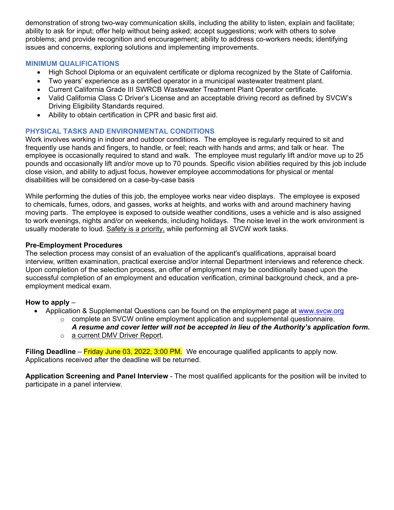demonstration of strong two-way communication skills, including the ability to listen, explain and facilitate; ability to ask for input; offer help without being asked; accept suggestions; work with others to solve problems; and provide recognition and encouragement; ability to address co-workers needs; identifying issues and concerns, exploring solutions and implementing improvements.

#### **MINIMUM QUALIFICATIONS**

- High School Diploma or an equivalent certificate or diploma recognized by the State of California.
- Two years' experience as a certified operator in a municipal wastewater treatment plant.
- Current California Grade III SWRCB Wastewater Treatment Plant Operator certificate.
- Valid California Class C Driver's License and an acceptable driving record as defined by SVCW's Driving Eligibility Standards required.
- Ability to obtain certification in CPR and basic first aid.

#### **PHYSICAL TASKS AND ENVIRONMENTAL CONDITIONS**

Work involves working in indoor and outdoor conditions. The employee is regularly required to sit and frequently use hands and fingers, to handle, or feel; reach with hands and arms; and talk or hear. The employee is occasionally required to stand and walk. The employee must regularly lift and/or move up to 25 pounds and occasionally lift and/or move up to 70 pounds. Specific vision abilities required by this job include close vision, and ability to adjust focus, however employee accommodations for physical or mental disabilities will be considered on a case-by-case basis

While performing the duties of this job, the employee works near video displays. The employee is exposed to chemicals, fumes, odors, and gasses, works at heights, and works with and around machinery having moving parts. The employee is exposed to outside weather conditions, uses a vehicle and is also assigned to work evenings, nights and/or on weekends, including holidays. The noise level in the work environment is usually moderate to loud. Safety is a priority, while performing all SVCW work tasks.

#### **Pre-Employment Procedures**

The selection process may consist of an evaluation of the applicant's qualifications, appraisal board interview, written examination, practical exercise and/or internal Department interviews and reference check. Upon completion of the selection process, an offer of employment may be conditionally based upon the successful completion of an employment and education verification, criminal background check, and a preemployment medical exam.

#### **How to apply** –

- Application & Supplemental Questions can be found on the employment page at www.svcw.org
	- $\circ$  complete an SVCW online employment application and supplemental questionnaire.
	- *A resume and cover letter will not be accepted in lieu of the Authority's application form.*  o a current DMV Driver Report.

**Filing Deadline** – Friday June 03, 2022, 3:00 PM. We encourage qualified applicants to apply now. Applications received after the deadline will be returned.

**Application Screening and Panel Interview** - The most qualified applicants for the position will be invited to participate in a panel interview.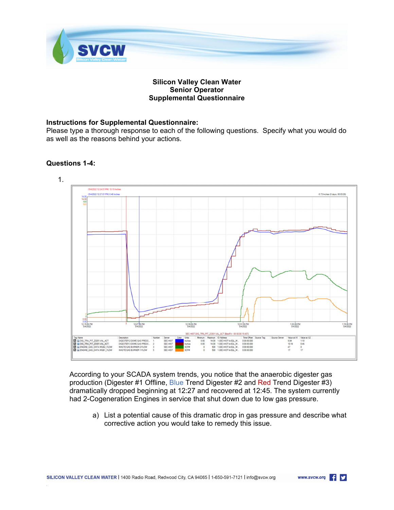

#### **Silicon Valley Clean Water Senior Operator Supplemental Questionnaire**

#### **Instructions for Supplemental Questionnaire:**

Please type a thorough response to each of the following questions. Specify what you would do as well as the reasons behind your actions.

#### **Questions 1-4:**

.



According to your SCADA system trends, you notice that the anaerobic digester gas production (Digester #1 Offline, Blue Trend Digester #2 and Red Trend Digester #3) dramatically dropped beginning at 12:27 and recovered at 12:45. The system currently had 2-Cogeneration Engines in service that shut down due to low gas pressure.

a) List a potential cause of this dramatic drop in gas pressure and describe what corrective action you would take to remedy this issue.